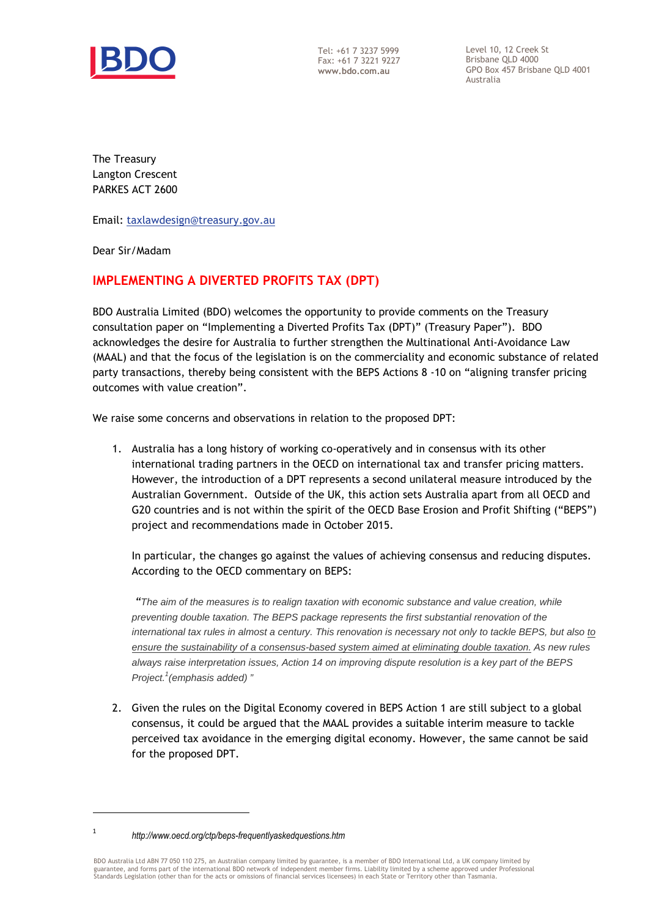

Tel: +61 7 3237 5999 Fax: +61 7 3221 9227 **www.bdo.com.au** 

Level 10, 12 Creek St Brisbane QLD 4000 GPO Box 457 Brisbane QLD 4001 Australia

The Treasury Langton Crescent PARKES ACT 2600

Email: taxlawdesign@treasury.gov.au

Dear Sir/Madam

## **IMPLEMENTING A DIVERTED PROFITS TAX (DPT)**

BDO Australia Limited (BDO) welcomes the opportunity to provide comments on the Treasury consultation paper on "Implementing a Diverted Profits Tax (DPT)" (Treasury Paper"). BDO acknowledges the desire for Australia to further strengthen the Multinational Anti-Avoidance Law (MAAL) and that the focus of the legislation is on the commerciality and economic substance of related party transactions, thereby being consistent with the BEPS Actions 8 -10 on "aligning transfer pricing outcomes with value creation".

We raise some concerns and observations in relation to the proposed DPT:

1. Australia has a long history of working co-operatively and in consensus with its other international trading partners in the OECD on international tax and transfer pricing matters. However, the introduction of a DPT represents a second unilateral measure introduced by the Australian Government. Outside of the UK, this action sets Australia apart from all OECD and G20 countries and is not within the spirit of the OECD Base Erosion and Profit Shifting ("BEPS") project and recommendations made in October 2015.

In particular, the changes go against the values of achieving consensus and reducing disputes. According to the OECD commentary on BEPS:

 *"*The aim of the measures is to realign taxation with economic substance and value creation, while preventing double taxation. The BEPS package represents the first substantial renovation of the international tax rules in almost a century. This renovation is necessary not only to tackle BEPS, but also to ensure the sustainability of a consensus-based system aimed at eliminating double taxation. As new rules always raise interpretation issues, Action 14 on improving dispute resolution is a key part of the BEPS Project.<sup>1</sup> (emphasis added)<sup>"</sup>

2. Given the rules on the Digital Economy covered in BEPS Action 1 are still subject to a global consensus, it could be argued that the MAAL provides a suitable interim measure to tackle perceived tax avoidance in the emerging digital economy. However, the same cannot be said for the proposed DPT.

l 1

*http://www.oecd.org/ctp/beps-frequentlyaskedquestions.htm*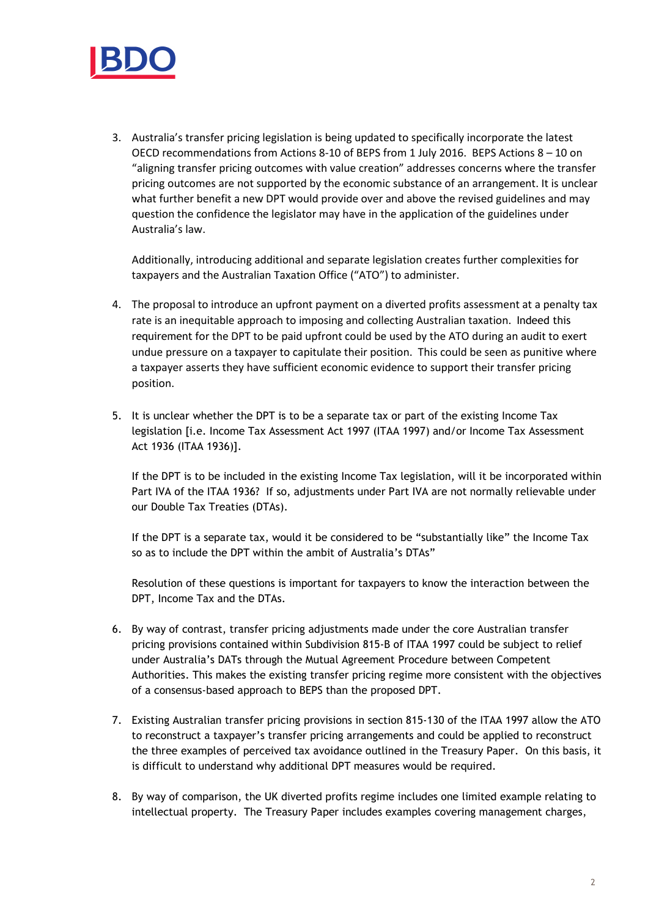

3. Australia's transfer pricing legislation is being updated to specifically incorporate the latest OECD recommendations from Actions 8-10 of BEPS from 1 July 2016. BEPS Actions 8 – 10 on "aligning transfer pricing outcomes with value creation" addresses concerns where the transfer pricing outcomes are not supported by the economic substance of an arrangement. It is unclear what further benefit a new DPT would provide over and above the revised guidelines and may question the confidence the legislator may have in the application of the guidelines under Australia's law.

Additionally, introducing additional and separate legislation creates further complexities for taxpayers and the Australian Taxation Office ("ATO") to administer.

- 4. The proposal to introduce an upfront payment on a diverted profits assessment at a penalty tax rate is an inequitable approach to imposing and collecting Australian taxation. Indeed this requirement for the DPT to be paid upfront could be used by the ATO during an audit to exert undue pressure on a taxpayer to capitulate their position. This could be seen as punitive where a taxpayer asserts they have sufficient economic evidence to support their transfer pricing position.
- 5. It is unclear whether the DPT is to be a separate tax or part of the existing Income Tax legislation [i.e. Income Tax Assessment Act 1997 (ITAA 1997) and/or Income Tax Assessment Act 1936 (ITAA 1936)].

If the DPT is to be included in the existing Income Tax legislation, will it be incorporated within Part IVA of the ITAA 1936? If so, adjustments under Part IVA are not normally relievable under our Double Tax Treaties (DTAs).

If the DPT is a separate tax, would it be considered to be "substantially like" the Income Tax so as to include the DPT within the ambit of Australia's DTAs"

Resolution of these questions is important for taxpayers to know the interaction between the DPT, Income Tax and the DTAs.

- 6. By way of contrast, transfer pricing adjustments made under the core Australian transfer pricing provisions contained within Subdivision 815-B of ITAA 1997 could be subject to relief under Australia's DATs through the Mutual Agreement Procedure between Competent Authorities. This makes the existing transfer pricing regime more consistent with the objectives of a consensus-based approach to BEPS than the proposed DPT.
- 7. Existing Australian transfer pricing provisions in section 815-130 of the ITAA 1997 allow the ATO to reconstruct a taxpayer's transfer pricing arrangements and could be applied to reconstruct the three examples of perceived tax avoidance outlined in the Treasury Paper. On this basis, it is difficult to understand why additional DPT measures would be required.
- 8. By way of comparison, the UK diverted profits regime includes one limited example relating to intellectual property. The Treasury Paper includes examples covering management charges,